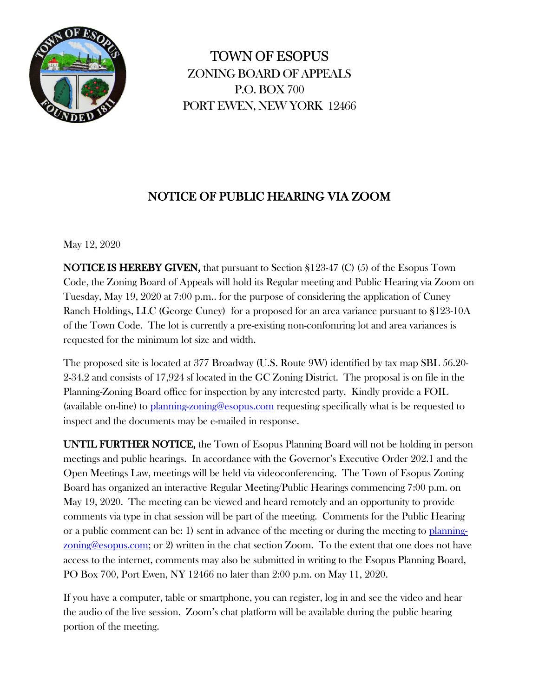

TOWN OF ESOPUS ZONING BOARD OF APPEALS P.O. BOX 700 PORT EWEN, NEW YORK 12466

## NOTICE OF PUBLIC HEARING VIA ZOOM

May 12, 2020

NOTICE IS HEREBY GIVEN, that pursuant to Section §123-47 (C) (5) of the Esopus Town Code, the Zoning Board of Appeals will hold its Regular meeting and Public Hearing via Zoom on Tuesday, May 19, 2020 at 7:00 p.m.. for the purpose of considering the application of Cuney Ranch Holdings, LLC (George Cuney) for a proposed for an area variance pursuant to §123-10A of the Town Code. The lot is currently a pre-existing non-confomring lot and area variances is requested for the minimum lot size and width.

The proposed site is located at 377 Broadway (U.S. Route 9W) identified by tax map SBL 56.20- 2-34.2 and consists of 17,924 sf located in the GC Zoning District. The proposal is on file in the Planning-Zoning Board office for inspection by any interested party. Kindly provide a FOIL (available on-line) to [planning-zoning@esopus.com](mailto:planning-zoning@esopus.com) requesting specifically what is be requested to inspect and the documents may be e-mailed in response.

UNTIL FURTHER NOTICE, the Town of Esopus Planning Board will not be holding in person meetings and public hearings. In accordance with the Governor's Executive Order 202.1 and the Open Meetings Law, meetings will be held via videoconferencing. The Town of Esopus Zoning Board has organized an interactive Regular Meeting/Public Hearings commencing 7:00 p.m. on May 19, 2020. The meeting can be viewed and heard remotely and an opportunity to provide comments via type in chat session will be part of the meeting. Comments for the Public Hearing or a public comment can be: 1) sent in advance of the meeting or during the meeting to [planning](mailto:planning-zoning@esopus.com)[zoning@esopus.com;](mailto:planning-zoning@esopus.com) or 2) written in the chat section Zoom. To the extent that one does not have access to the internet, comments may also be submitted in writing to the Esopus Planning Board, PO Box 700, Port Ewen, NY 12466 no later than 2:00 p.m. on May 11, 2020.

If you have a computer, table or smartphone, you can register, log in and see the video and hear the audio of the live session. Zoom's chat platform will be available during the public hearing portion of the meeting.